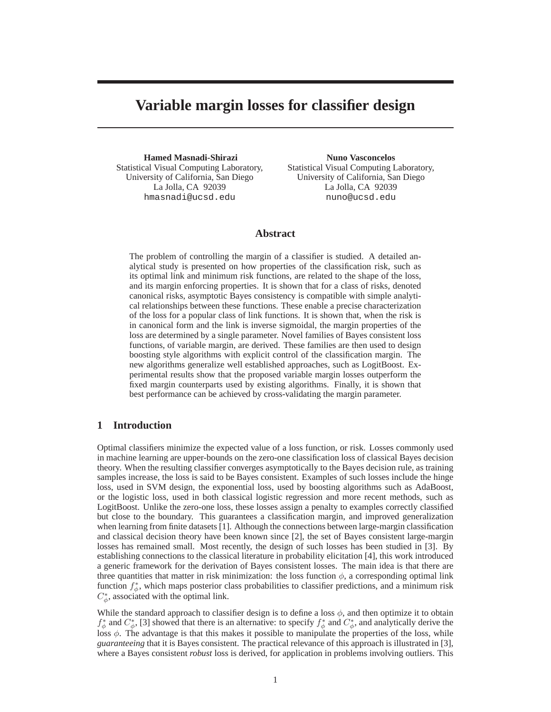# **Variable margin losses for classifier design**

**Hamed Masnadi-Shirazi** Statistical Visual Computing Laboratory, University of California, San Diego La Jolla, CA 92039 hmasnadi@ucsd.edu

**Nuno Vasconcelos** Statistical Visual Computing Laboratory, University of California, San Diego La Jolla, CA 92039 nuno@ucsd.edu

## **Abstract**

The problem of controlling the margin of a classifier is studied. A detailed analytical study is presented on how properties of the classification risk, such as its optimal link and minimum risk functions, are related to the shape of the loss, and its margin enforcing properties. It is shown that for a class of risks, denoted canonical risks, asymptotic Bayes consistency is compatible with simple analytical relationships between these functions. These enable a precise characterization of the loss for a popular class of link functions. It is shown that, when the risk is in canonical form and the link is inverse sigmoidal, the margin properties of the loss are determined by a single parameter. Novel families of Bayes consistent loss functions, of variable margin, are derived. These families are then used to design boosting style algorithms with explicit control of the classification margin. The new algorithms generalize well established approaches, such as LogitBoost. Experimental results show that the proposed variable margin losses outperform the fixed margin counterparts used by existing algorithms. Finally, it is shown that best performance can be achieved by cross-validating the margin parameter.

## **1 Introduction**

Optimal classifiers minimize the expected value of a loss function, or risk. Losses commonly used in machine learning are upper-bounds on the zero-one classification loss of classical Bayes decision theory. When the resulting classifier converges asymptotically to the Bayes decision rule, as training samples increase, the loss is said to be Bayes consistent. Examples of such losses include the hinge loss, used in SVM design, the exponential loss, used by boosting algorithms such as AdaBoost, or the logistic loss, used in both classical logistic regression and more recent methods, such as LogitBoost. Unlike the zero-one loss, these losses assign a penalty to examples correctly classified but close to the boundary. This guarantees a classification margin, and improved generalization when learning from finite datasets [1]. Although the connections between large-margin classification and classical decision theory have been known since [2], the set of Bayes consistent large-margin losses has remained small. Most recently, the design of such losses has been studied in [3]. By establishing connections to the classical literature in probability elicitation [4], this work introduced a generic framework for the derivation of Bayes consistent losses. The main idea is that there are three quantities that matter in risk minimization: the loss function  $\phi$ , a corresponding optimal link function  $f^*_{\phi}$ , which maps posterior class probabilities to classifier predictions, and a minimum risk  $C^*_{\phi}$ , associated with the optimal link.

While the standard approach to classifier design is to define a loss  $\phi$ , and then optimize it to obtain  $f^*_{\phi}$  and  $C^*_{\phi}$ , [3] showed that there is an alternative: to specify  $f^*_{\phi}$  and  $C^*_{\phi}$ , and analytically derive the loss  $\phi$ . The advantage is that this makes it possible to manipulate the properties of the loss, while *guaranteeing* that it is Bayes consistent. The practical relevance of this approach is illustrated in [3], where a Bayes consistent *robust* loss is derived, for application in problems involving outliers. This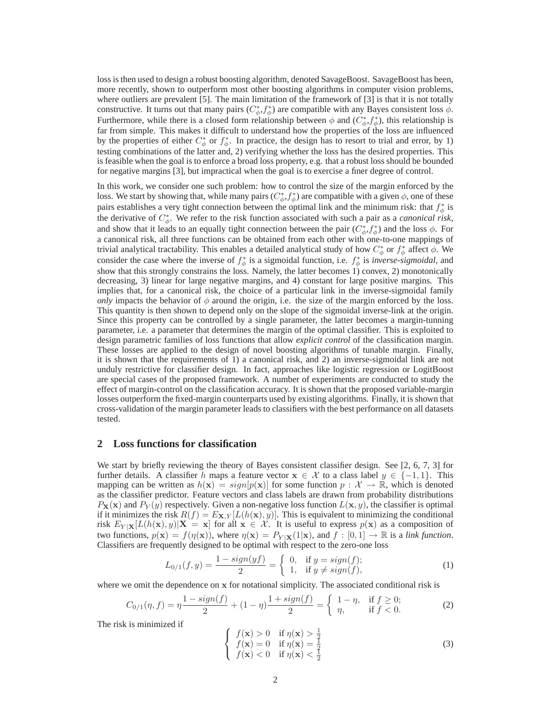loss is then used to design a robust boosting algorithm, denoted SavageBoost. SavageBoost has been, more recently, shown to outperform most other boosting algorithms in computer vision problems, where outliers are prevalent [5]. The main limitation of the framework of [3] is that it is not totally constructive. It turns out that many pairs  $(C^*_\phi, f^*_\phi)$  are compatible with any Bayes consistent loss  $\dot{\phi}$ . Furthermore, while there is a closed form relationship between  $\phi$  and  $(C^*_{\phi}, f^*_{\phi})$ , this relationship is far from simple. This makes it difficult to understand how the properties of the loss are influenced by the properties of either  $C^*_{\phi}$  or  $f^*_{\phi}$ . In practice, the design has to resort to trial and error, by 1) testing combinations of the latter and, 2) verifying whether the loss has the desired properties. This is feasible when the goal is to enforce a broad loss property, e.g. that a robust loss should be bounded for negative margins [3], but impractical when the goal is to exercise a finer degree of control.

In this work, we consider one such problem: how to control the size of the margin enforced by the loss. We start by showing that, while many pairs  $(C^*_\phi, f^*_\phi)$  are compatible with a given  $\phi$ , one of these pairs establishes a very tight connection between the optimal link and the minimum risk: that  $f^*_{\phi}$  is the derivative of  $C^*_{\phi}$ . We refer to the risk function associated with such a pair as a *canonical risk*, and show that it leads to an equally tight connection between the pair  $(C^*_{\phi}, f^*_{\phi})$  and the loss  $\phi$ . For a canonical risk, all three functions can be obtained from each other with one-to-one mappings of trivial analytical tractability. This enables a detailed analytical study of how  $C^*_\phi$  or  $f^*_\phi$  affect  $\phi$ . We consider the case where the inverse of  $f^*_{\phi}$  is a sigmoidal function, i.e.  $f^*_{\phi}$  is *inverse-sigmoidal*, and show that this strongly constrains the loss. Namely, the latter becomes 1) convex, 2) monotonically decreasing, 3) linear for large negative margins, and 4) constant for large positive margins. This implies that, for a canonical risk, the choice of a particular link in the inverse-sigmoidal family *only* impacts the behavior of  $\phi$  around the origin, i.e. the size of the margin enforced by the loss. This quantity is then shown to depend only on the slope of the sigmoidal inverse-link at the origin. Since this property can be controlled by a single parameter, the latter becomes a margin-tunning parameter, i.e. a parameter that determines the margin of the optimal classifier. This is exploited to design parametric families of loss functions that allow *explicit control* of the classification margin. These losses are applied to the design of novel boosting algorithms of tunable margin. Finally, it is shown that the requirements of 1) a canonical risk, and 2) an inverse-sigmoidal link are not unduly restrictive for classifier design. In fact, approaches like logistic regression or LogitBoost are special cases of the proposed framework. A number of experiments are conducted to study the effect of margin-control on the classification accuracy. It is shown that the proposed variable-margin losses outperform the fixed-margin counterparts used by existing algorithms. Finally, it is shown that cross-validation of the margin parameter leads to classifiers with the best performance on all datasets tested.

#### **2 Loss functions for classification**

We start by briefly reviewing the theory of Bayes consistent classifier design. See [2, 6, 7, 3] for further details. A classifier h maps a feature vector  $x \in \mathcal{X}$  to a class label  $y \in \{-1, 1\}$ . This mapping can be written as  $h(\mathbf{x}) = sign[p(\mathbf{x})]$  for some function  $p : \mathcal{X} \to \mathbb{R}$ , which is denoted as the classifier predictor. Feature vectors and class labels are drawn from probability distributions  $P_{\mathbf{X}}(\mathbf{x})$  and  $P_Y(y)$  respectively. Given a non-negative loss function  $L(\mathbf{x}, y)$ , the classifier is optimal if it minimizes the risk  $R(f) = E_{\mathbf{X},Y}[L(h(\mathbf{x}), y)]$ . This is equivalent to minimizing the conditional risk  $E_{Y|X}[L(h(\mathbf{x}), y)|X = x]$  for all  $x \in \mathcal{X}$ . It is useful to express  $p(x)$  as a composition of two functions,  $p(\mathbf{x}) = f(\eta(\mathbf{x}))$ , where  $\eta(\mathbf{x}) = P_{Y | \mathbf{X}}(1 | \mathbf{x})$ , and  $f : [0, 1] \to \mathbb{R}$  is a *link function*. Classifiers are frequently designed to be optimal with respect to the zero-one loss

$$
L_{0/1}(f, y) = \frac{1 - sign(yf)}{2} = \begin{cases} 0, & \text{if } y = sign(f); \\ 1, & \text{if } y \neq sign(f), \end{cases}
$$
 (1)

where we omit the dependence on x for notational simplicity. The associated conditional risk is

$$
C_{0/1}(\eta, f) = \eta \frac{1 - sign(f)}{2} + (1 - \eta) \frac{1 + sign(f)}{2} = \begin{cases} 1 - \eta, & \text{if } f \ge 0; \\ \eta, & \text{if } f < 0. \end{cases}
$$
 (2)

The risk is minimized if

$$
\begin{cases}\nf(\mathbf{x}) > 0 & \text{if } \eta(\mathbf{x}) > \frac{1}{2} \\
f(\mathbf{x}) = 0 & \text{if } \eta(\mathbf{x}) = \frac{1}{2} \\
f(\mathbf{x}) < 0 & \text{if } \eta(\mathbf{x}) < \frac{1}{2}\n\end{cases}
$$
\n(3)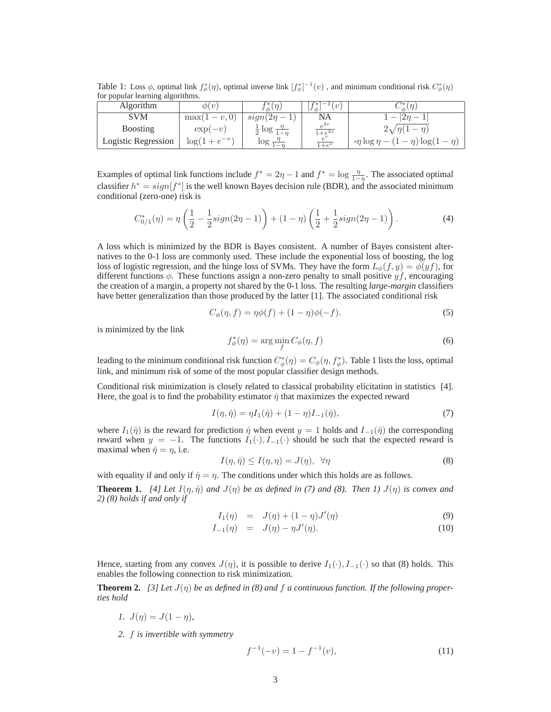Table 1: Loss  $\phi$ , optimal link  $f^*_{\phi}(\eta)$ , optimal inverse link  $[f^*_{\phi}]^{-1}(v)$ , and minimum conditional risk  $C^*_{\phi}(\eta)$ for popular learning algorithms.

| <b>Algorithm</b>    | $\phi(v)$          | $f^*_{\phi}(\eta)$                  | $f^{+}f^{*}\bar{1}^{-1}(v)$   | $C^*(n)$                                  |
|---------------------|--------------------|-------------------------------------|-------------------------------|-------------------------------------------|
| SVM                 | $\max(1-v,0)$      | $sign(2\eta-1)$                     | NA                            | $-12n$                                    |
| <b>B</b> oosting    | $\exp(-v)$         | $rac{1}{2}$ log $rac{\eta}{1-\eta}$ | $e^{2v}$<br>$\sqrt{1+e^{2v}}$ | $2\sqrt{\eta(1-\eta)}$                    |
| Logistic Regression | $\log(1 + e^{-v})$ | $\log \frac{1}{1-n}$                | $\overline{1+e^v}$            | $-\eta \log \eta - (1-\eta) \log(1-\eta)$ |

Examples of optimal link functions include  $f^* = 2\eta - 1$  and  $f^* = \log \frac{\eta}{1-\eta}$ . The associated optimal classifier  $h^* = sign[f^*]$  is the well known Bayes decision rule (BDR), and the associated minimum conditional (zero-one) risk is

$$
C_{0/1}^*(\eta) = \eta \left( \frac{1}{2} - \frac{1}{2} sign(2\eta - 1) \right) + (1 - \eta) \left( \frac{1}{2} + \frac{1}{2} sign(2\eta - 1) \right). \tag{4}
$$

A loss which is minimized by the BDR is Bayes consistent. A number of Bayes consistent alternatives to the 0-1 loss are commonly used. These include the exponential loss of boosting, the log loss of logistic regression, and the hinge loss of SVMs. They have the form  $L_{\phi}(f, y) = \phi(yf)$ , for different functions  $\phi$ . These functions assign a non-zero penalty to small positive  $yf$ , encouraging the creation of a margin, a property not shared by the 0-1 loss. The resulting *large-margin* classifiers have better generalization than those produced by the latter [1]. The associated conditional risk

$$
C_{\phi}(\eta, f) = \eta \phi(f) + (1 - \eta)\phi(-f). \tag{5}
$$

is minimized by the link

$$
f_{\phi}^*(\eta) = \arg\min_{f} C_{\phi}(\eta, f) \tag{6}
$$

leading to the minimum conditional risk function  $C^*_\phi(\eta) = C_\phi(\eta, f^*_\phi)$ . Table 1 lists the loss, optimal link, and minimum risk of some of the most popular classifier design methods.

Conditional risk minimization is closely related to classical probability elicitation in statistics [4]. Here, the goal is to find the probability estimator  $\hat{\eta}$  that maximizes the expected reward

$$
I(\eta, \hat{\eta}) = \eta I_1(\hat{\eta}) + (1 - \eta)I_{-1}(\hat{\eta}), \tag{7}
$$

where  $I_1(\hat{\eta})$  is the reward for prediction  $\hat{\eta}$  when event  $y = 1$  holds and  $I_{-1}(\hat{\eta})$  the corresponding reward when  $y = -1$ . The functions  $I_1(\cdot), I_{-1}(\cdot)$  should be such that the expected reward is maximal when  $\hat{\eta} = \eta$ , i.e.

$$
I(\eta, \hat{\eta}) \le I(\eta, \eta) = J(\eta), \quad \forall \eta \tag{8}
$$

with equality if and only if  $\hat{\eta} = \eta$ . The conditions under which this holds are as follows.

**Theorem 1.** [4] Let  $I(\eta, \hat{\eta})$  and  $J(\eta)$  be as defined in (7) and (8). Then 1)  $J(\eta)$  is convex and *2) (8) holds if and only if*

$$
I_1(\eta) = J(\eta) + (1 - \eta)J'(\eta) \tag{9}
$$

$$
I_{-1}(\eta) = J(\eta) - \eta J'(\eta). \tag{10}
$$

Hence, starting from any convex  $J(\eta)$ , it is possible to derive  $I_1(\cdot), I_{-1}(\cdot)$  so that (8) holds. This enables the following connection to risk minimization.

**Theorem 2.** [3] Let  $J(\eta)$  be as defined in (8) and f a continuous function. If the following proper*ties hold*

- *1.*  $J(\eta) = J(1 \eta)$ ,
- *2.* f *is invertible with symmetry*

$$
f^{-1}(-v) = 1 - f^{-1}(v),\tag{11}
$$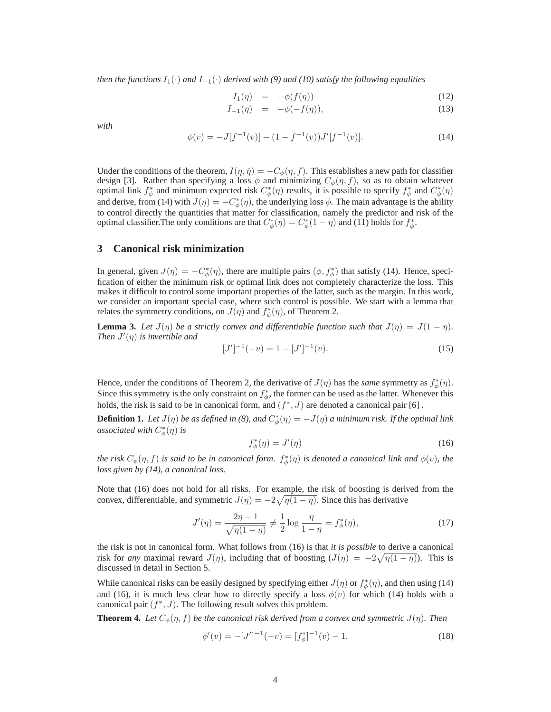*then the functions*  $I_1(\cdot)$  *and*  $I_{-1}(\cdot)$  *derived with* (9) *and* (10) *satisfy the following equalities* 

$$
I_1(\eta) = -\phi(f(\eta)) \tag{12}
$$

$$
I_{-1}(\eta) = -\phi(-f(\eta)), \tag{13}
$$

*with*

$$
\phi(v) = -J[f^{-1}(v)] - (1 - f^{-1}(v))J'[f^{-1}(v)].
$$
\n(14)

Under the conditions of the theorem,  $I(\eta, \hat{\eta}) = -C_{\phi}(\eta, f)$ . This establishes a new path for classifier design [3]. Rather than specifying a loss  $\phi$  and minimizing  $C_{\phi}(\eta, f)$ , so as to obtain whatever optimal link  $f^*_\phi$  and minimum expected risk  $C^*_\phi(\eta)$  results, it is possible to specify  $f^*_\phi$  and  $C^*_\phi(\eta)$ and derive, from (14) with  $J(\eta) = -C^*_{\phi}(\eta)$ , the underlying loss  $\phi$ . The main advantage is the ability to control directly the quantities that matter for classification, namely the predictor and risk of the optimal classifier. The only conditions are that  $C^*_{\phi}(\eta) = C^*_{\phi}(1 - \eta)$  and (11) holds for  $f^*_{\phi}$ .

#### **3 Canonical risk minimization**

In general, given  $J(\eta) = -C^*_{\phi}(\eta)$ , there are multiple pairs  $(\phi, f^*_{\phi})$  that satisfy (14). Hence, specification of either the minimum risk or optimal link does not completely characterize the loss. This makes it difficult to control some important properties of the latter, such as the margin. In this work, we consider an important special case, where such control is possible. We start with a lemma that relates the symmetry conditions, on  $J(\eta)$  and  $f^*_{\phi}(\eta)$ , of Theorem 2.

**Lemma 3.** Let  $J(\eta)$  be a strictly convex and differentiable function such that  $J(\eta) = J(1 - \eta)$ . *Then*  $J'(\eta)$  *is invertible and* 

$$
[J']^{-1}(-v) = 1 - [J']^{-1}(v). \tag{15}
$$

Hence, under the conditions of Theorem 2, the derivative of  $J(\eta)$  has the *same* symmetry as  $f^*_{\phi}(\eta)$ . Since this symmetry is the only constraint on  $f^*_{\phi}$ , the former can be used as the latter. Whenever this holds, the risk is said to be in canonical form, and  $(f^*, J)$  are denoted a canonical pair [6].

**Definition 1.** Let  $J(\eta)$  be as defined in (8), and  $C^*_{\phi}(\eta) = -J(\eta)$  a minimum risk. If the optimal link *associated with*  $C^*_{\phi}(\eta)$  *is* 

$$
f_{\phi}^*(\eta) = J'(\eta) \tag{16}
$$

*the risk*  $C_\phi(\eta, f)$  *is said to be in canonical form.*  $f^*_\phi(\eta)$  *is denoted a canonical link and*  $\phi(v)$ *, the loss given by (14), a canonical loss.*

Note that (16) does not hold for all risks. For example, the risk of boosting is derived from the convex, differentiable, and symmetric  $J(\eta) = -2\sqrt{\eta(1-\eta)}$ . Since this has derivative

$$
J'(\eta) = \frac{2\eta - 1}{\sqrt{\eta(1 - \eta)}} \neq \frac{1}{2} \log \frac{\eta}{1 - \eta} = f_{\phi}^*(\eta),
$$
 (17)

the risk is not in canonical form. What follows from (16) is that *it is possible* to derive a canonical risk for *any* maximal reward  $J(\eta)$ , including that of boosting  $(J(\eta) = -2\sqrt{\eta(1-\eta)})$ . This is discussed in detail in Section 5.

While canonical risks can be easily designed by specifying either  $J(\eta)$  or  $f^*_{\phi}(\eta)$ , and then using (14) and (16), it is much less clear how to directly specify a loss  $\phi(v)$  for which (14) holds with a canonical pair  $(f^*, J)$ . The following result solves this problem.

**Theorem 4.** Let  $C_{\phi}(\eta, f)$  be the canonical risk derived from a convex and symmetric  $J(\eta)$ . Then

$$
\phi'(v) = -[J']^{-1}(-v) = [f_{\phi}^*]^{-1}(v) - 1.
$$
\n(18)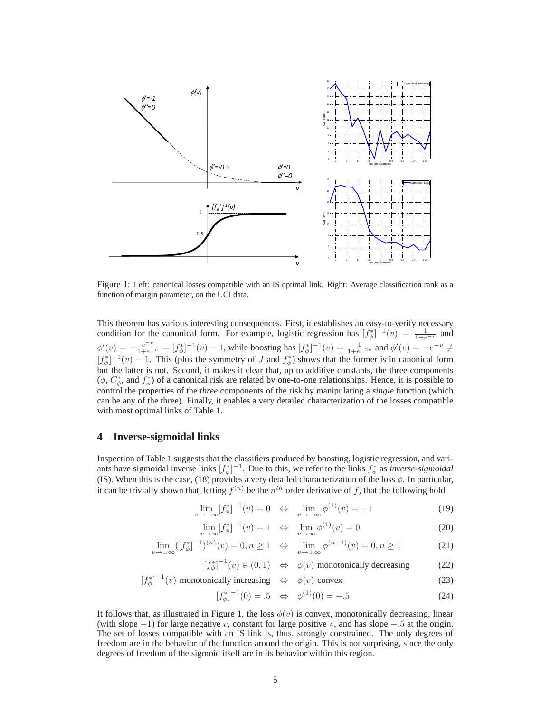

Figure 1: Left: canonical losses compatible with an IS optimal link. Right: Average classification rank as a function of margin parameter, on the UCI data.

This theorem has various interesting consequences. First, it establishes an easy-to-verify necessary condition for the canonical form. For example, logistic regression has  $[f^*_{\phi}]^{-1}(v) = \frac{1}{1+e^{-v}}$  and  $\phi'(v) = -\frac{e^{-v}}{1+e^{-v}} = [f_{\phi}^*]^{-1}(v) - 1$ , while boosting has  $[f_{\phi}^*]^{-1}(v) = \frac{1}{1+e^{-2v}}$  and  $\phi'(v) = -e^{-v} \neq 0$  $[f_{\phi}^{*}]^{-1}(v) - 1$ . This (plus the symmetry of J and  $f_{\phi}^{*}$ ) shows that the former is in canonical form but the latter is not. Second, it makes it clear that, up to additive constants, the three components  $(\phi, C^*_\phi, \phi)$  of a canonical risk are related by one-to-one relationships. Hence, it is possible to control the properties of the *three* components of the risk by manipulating a *single* function (which can be any of the three). Finally, it enables a very detailed characterization of the losses compatible with most optimal links of Table 1.

#### **4 Inverse-sigmoidal links**

 $[f^*_{\phi}]^{-1}$ 

Inspection of Table 1 suggests that the classifiers produced by boosting, logistic regression, and variants have sigmoidal inverse links  $[f^*_{\phi}]^{-1}$ . Due to this, we refer to the links  $f^*_{\phi}$  as *inverse-sigmoidal* (IS). When this is the case, (18) provides a very detailed characterization of the loss  $\phi$ . In particular, it can be trivially shown that, letting  $f^{(n)}$  be the  $n^{th}$  order derivative of f, that the following hold

$$
\lim_{v \to -\infty} [f_{\phi}^{*}]^{-1}(v) = 0 \iff \lim_{v \to -\infty} \phi^{(1)}(v) = -1
$$
 (19)

$$
\lim_{v \to \infty} [f_{\phi}^*]^{-1}(v) = 1 \quad \Leftrightarrow \quad \lim_{v \to \infty} \phi^{(1)}(v) = 0 \tag{20}
$$

$$
\lim_{v \to \pm \infty} ([f_{\phi}^*]^{-1})^{(n)}(v) = 0, n \ge 1 \quad \Leftrightarrow \quad \lim_{v \to \pm \infty} \phi^{(n+1)}(v) = 0, n \ge 1 \tag{21}
$$

$$
\left[f_{\phi}^{*}\right]^{-1}(v) \in (0,1) \quad \Leftrightarrow \quad \phi(v) \text{ monotonically decreasing} \tag{22}
$$

(v) monotonically increasing 
$$
\Leftrightarrow \phi(v)
$$
 convex (23)

$$
[f_{\phi}^*]^{-1}(0) = .5 \quad \Leftrightarrow \quad \phi^{(1)}(0) = -.5. \tag{24}
$$

It follows that, as illustrated in Figure 1, the loss  $\phi(v)$  is convex, monotonically decreasing, linear (with slope  $-1$ ) for large negative v, constant for large positive v, and has slope  $-.5$  at the origin. The set of losses compatible with an IS link is, thus, strongly constrained. The only degrees of freedom are in the behavior of the function around the origin. This is not surprising, since the only degrees of freedom of the sigmoid itself are in its behavior within this region.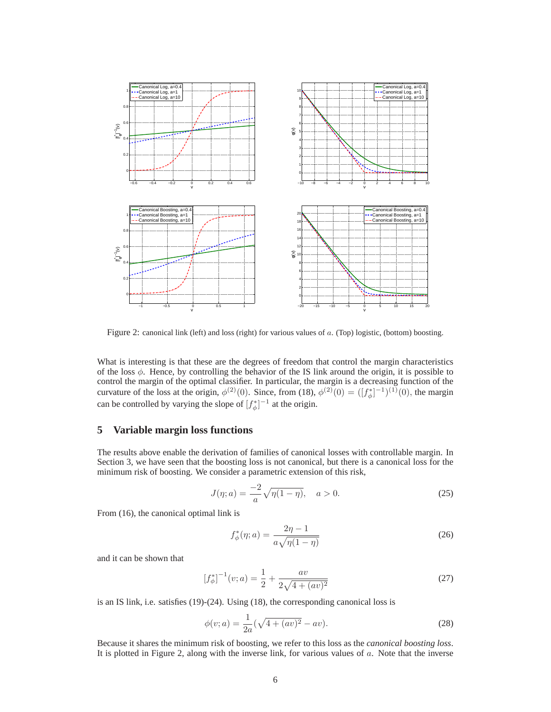

Figure 2: canonical link (left) and loss (right) for various values of a. (Top) logistic, (bottom) boosting.

What is interesting is that these are the degrees of freedom that control the margin characteristics of the loss  $\phi$ . Hence, by controlling the behavior of the IS link around the origin, it is possible to control the margin of the optimal classifier. In particular, the margin is a decreasing function of the curvature of the loss at the origin,  $\phi^{(2)}(0)$ . Since, from (18),  $\phi^{(2)}(0) = ([f^*_{\phi}]^{-1})^{(1)}(0)$ , the margin can be controlled by varying the slope of  $[f^*_{\phi}]^{-1}$  at the origin.

### **5 Variable margin loss functions**

The results above enable the derivation of families of canonical losses with controllable margin. In Section 3, we have seen that the boosting loss is not canonical, but there is a canonical loss for the minimum risk of boosting. We consider a parametric extension of this risk,

$$
J(\eta; a) = \frac{-2}{a} \sqrt{\eta(1-\eta)}, \quad a > 0.
$$
 (25)

From (16), the canonical optimal link is

$$
f_{\phi}^*(\eta; a) = \frac{2\eta - 1}{a\sqrt{\eta(1 - \eta)}}\tag{26}
$$

and it can be shown that

$$
\left[f_{\phi}^{*}\right]^{-1}(v;a) = \frac{1}{2} + \frac{av}{2\sqrt{4 + (av)^{2}}}
$$
\n(27)

is an IS link, i.e. satisfies (19)-(24). Using (18), the corresponding canonical loss is

$$
\phi(v;a) = \frac{1}{2a}(\sqrt{4 + (av)^2} - av).
$$
\n(28)

Because it shares the minimum risk of boosting, we refer to this loss as the *canonical boosting loss*. It is plotted in Figure 2, along with the inverse link, for various values of a. Note that the inverse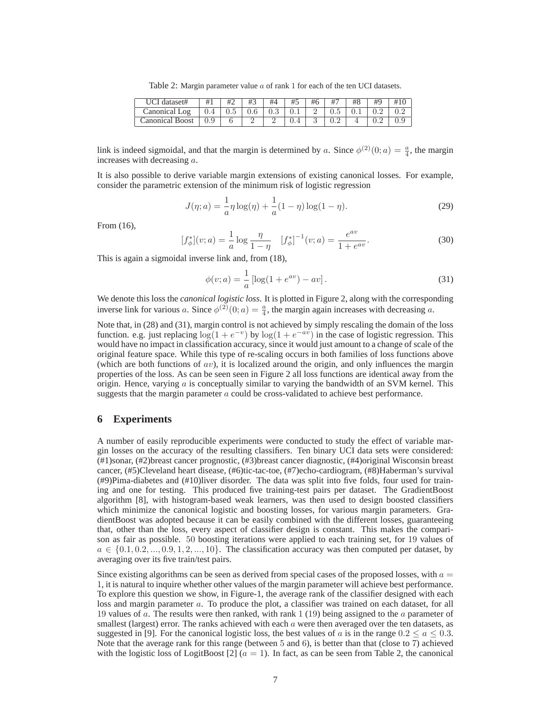Table 2: Margin parameter value a of rank 1 for each of the ten UCI datasets.

| UCI dataset#    | #1  | #2  | #3      | #4      | #5  | #6 | #7      | #8  | H <sub>O</sub> | # |
|-----------------|-----|-----|---------|---------|-----|----|---------|-----|----------------|---|
| Canonical Log   | 0.4 | 0.5 | $0.6\,$ | $0.3\,$ | 0.1 |    | $0.5\,$ | 0.1 |                |   |
| Canonical Boost | 0.9 |     |         |         |     |    |         |     |                |   |

link is indeed sigmoidal, and that the margin is determined by a. Since  $\phi^{(2)}(0; a) = \frac{a}{4}$ , the margin increases with decreasing a.

It is also possible to derive variable margin extensions of existing canonical losses. For example, consider the parametric extension of the minimum risk of logistic regression

$$
J(\eta; a) = \frac{1}{a}\eta \log(\eta) + \frac{1}{a}(1 - \eta) \log(1 - \eta).
$$
 (29)

From (16),

$$
[f_{\phi}^*](v;a) = \frac{1}{a} \log \frac{\eta}{1-\eta} \quad [f_{\phi}^*]^{-1}(v;a) = \frac{e^{av}}{1+e^{av}}.
$$
 (30)

This is again a sigmoidal inverse link and, from (18),

$$
\phi(v;a) = \frac{1}{a} \left[ \log(1 + e^{av}) - av \right].
$$
\n(31)

We denote this loss the *canonical logistic loss*. It is plotted in Figure 2, along with the corresponding inverse link for various a. Since  $\phi^{(2)}(0; a) = \frac{a}{4}$ , the margin again increases with decreasing a.

Note that, in (28) and (31), margin control is not achieved by simply rescaling the domain of the loss function. e.g. just replacing  $\log(1 + e^{-v})$  by  $\log(1 + e^{-av})$  in the case of logistic regression. This would have no impact in classification accuracy, since it would just amount to a change of scale of the original feature space. While this type of re-scaling occurs in both families of loss functions above (which are both functions of  $av$ ), it is localized around the origin, and only influences the margin properties of the loss. As can be seen seen in Figure 2 all loss functions are identical away from the origin. Hence, varying  $\alpha$  is conceptually similar to varying the bandwidth of an SVM kernel. This suggests that the margin parameter  $a$  could be cross-validated to achieve best performance.

#### **6 Experiments**

A number of easily reproducible experiments were conducted to study the effect of variable margin losses on the accuracy of the resulting classifiers. Ten binary UCI data sets were considered: (#1)sonar, (#2)breast cancer prognostic, (#3)breast cancer diagnostic, (#4)original Wisconsin breast cancer, (#5)Cleveland heart disease, (#6)tic-tac-toe, (#7)echo-cardiogram, (#8)Haberman's survival (#9)Pima-diabetes and (#10)liver disorder. The data was split into five folds, four used for training and one for testing. This produced five training-test pairs per dataset. The GradientBoost algorithm [8], with histogram-based weak learners, was then used to design boosted classifiers which minimize the canonical logistic and boosting losses, for various margin parameters. GradientBoost was adopted because it can be easily combined with the different losses, guaranteeing that, other than the loss, every aspect of classifier design is constant. This makes the comparison as fair as possible. 50 boosting iterations were applied to each training set, for 19 values of  $a \in \{0.1, 0.2, ..., 0.9, 1, 2, ..., 10\}$ . The classification accuracy was then computed per dataset, by averaging over its five train/test pairs.

Since existing algorithms can be seen as derived from special cases of the proposed losses, with  $a =$ 1, it is natural to inquire whether other values of the margin parameter will achieve best performance. To explore this question we show, in Figure-1, the average rank of the classifier designed with each loss and margin parameter a. To produce the plot, a classifier was trained on each dataset, for all 19 values of a. The results were then ranked, with rank  $1(19)$  being assigned to the a parameter of smallest (largest) error. The ranks achieved with each  $a$  were then averaged over the ten datasets, as suggested in [9]. For the canonical logistic loss, the best values of a is in the range  $0.2 \le a \le 0.3$ . Note that the average rank for this range (between 5 and 6), is better than that (close to 7) achieved with the logistic loss of LogitBoost [2]  $(a = 1)$ . In fact, as can be seen from Table 2, the canonical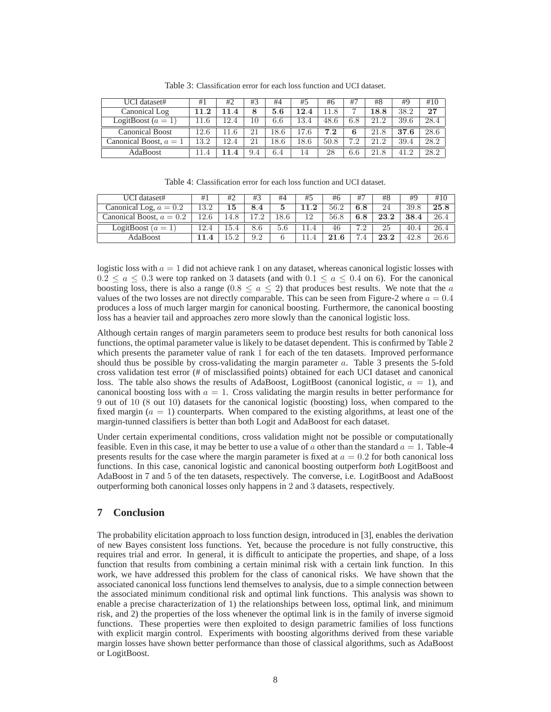| UCI dataset#             | #1       | #2                    | #3  | #4      | #5   | #6   | #7  | #8    | #9   | #10  |
|--------------------------|----------|-----------------------|-----|---------|------|------|-----|-------|------|------|
| Canonical Log            | $11.2\,$ | LL.4                  | 8   | 5.6     | 12.4 | 11.8 |     | l 8.8 | 38.2 | 27   |
| LogitBoost $(a = 1)$     | 11.6     | 12.4                  | 10  | 6.6     | 13.4 | 48.6 | 6.8 | 21.2  | 39.6 | 28.4 |
| <b>Canonical Boost</b>   | 12.6     | 11.6                  | 21  | 18.6    | 17.6 | 7.2  |     | 21.8  | 37.6 | 28.6 |
| Canonical Boost, $a = 1$ | 13.2     | 12.4                  | 21  | 18.6    | 18.6 | 50.8 | 79  | 21.2  | 39.4 | 28.2 |
| AdaBoost                 | 11.4     | $\boldsymbol{\Delta}$ | 9.4 | $6.4\,$ | 14   | 28   | 6.6 | 21.8  | 41.2 | 28.2 |

Table 3: Classification error for each loss function and UCI dataset.

Table 4: Classification error for each loss function and UCI dataset.

| UCI dataset#               | #1    | #2   | #3       | #4      | #5   | #6   | $#^-$ | #8   | #9   | #10  |
|----------------------------|-------|------|----------|---------|------|------|-------|------|------|------|
| Canonical Log, $a = 0.2$   | 13.2  | 15   | 8.<br>.4 | 5       | 1.2  | 56.2 | 6.8   | 24   | 39.8 | 25.8 |
| Canonical Boost, $a = 0.2$ | l 2.6 | 14.8 | .7<br>ຳ  | 18.6    | 12   | 56.8 | 6.8   | 23.2 | 38.4 | 26.4 |
| LogitBoost $(a = 1)$       |       | 5.4  | 8.6      | $5.6\,$ | 11.4 | 46   |       | 25   | 40.4 | 26.4 |
| AdaBoost                   |       | .5.2 | 9.2      |         |      | 21.6 | −     | 23.2 | 42.8 | 26.6 |

logistic loss with  $a = 1$  did not achieve rank 1 on any dataset, whereas canonical logistic losses with  $0.2 \le a \le 0.3$  were top ranked on 3 datasets (and with  $0.1 \le a \le 0.4$  on 6). For the canonical boosting loss, there is also a range  $(0.8 \le a \le 2)$  that produces best results. We note that the a values of the two losses are not directly comparable. This can be seen from Figure-2 where  $a = 0.4$ produces a loss of much larger margin for canonical boosting. Furthermore, the canonical boosting loss has a heavier tail and approaches zero more slowly than the canonical logistic loss.

Although certain ranges of margin parameters seem to produce best results for both canonical loss functions, the optimal parameter value is likely to be dataset dependent. This is confirmed by Table 2 which presents the parameter value of rank 1 for each of the ten datasets. Improved performance should thus be possible by cross-validating the margin parameter a. Table 3 presents the 5-fold cross validation test error (# of misclassified points) obtained for each UCI dataset and canonical loss. The table also shows the results of AdaBoost, LogitBoost (canonical logistic,  $a = 1$ ), and canonical boosting loss with  $a = 1$ . Cross validating the margin results in better performance for 9 out of 10 (8 out 10) datasets for the canonical logistic (boosting) loss, when compared to the fixed margin  $(a = 1)$  counterparts. When compared to the existing algorithms, at least one of the margin-tunned classifiers is better than both Logit and AdaBoost for each dataset.

Under certain experimental conditions, cross validation might not be possible or computationally feasible. Even in this case, it may be better to use a value of a other than the standard  $a = 1$ . Table-4 presents results for the case where the margin parameter is fixed at  $a = 0.2$  for both canonical loss functions. In this case, canonical logistic and canonical boosting outperform *both* LogitBoost and AdaBoost in 7 and 5 of the ten datasets, respectively. The converse, i.e. LogitBoost and AdaBoost outperforming both canonical losses only happens in 2 and 3 datasets, respectively.

## **7 Conclusion**

The probability elicitation approach to loss function design, introduced in [3], enables the derivation of new Bayes consistent loss functions. Yet, because the procedure is not fully constructive, this requires trial and error. In general, it is difficult to anticipate the properties, and shape, of a loss function that results from combining a certain minimal risk with a certain link function. In this work, we have addressed this problem for the class of canonical risks. We have shown that the associated canonical loss functions lend themselves to analysis, due to a simple connection between the associated minimum conditional risk and optimal link functions. This analysis was shown to enable a precise characterization of 1) the relationships between loss, optimal link, and minimum risk, and 2) the properties of the loss whenever the optimal link is in the family of inverse sigmoid functions. These properties were then exploited to design parametric families of loss functions with explicit margin control. Experiments with boosting algorithms derived from these variable margin losses have shown better performance than those of classical algorithms, such as AdaBoost or LogitBoost.